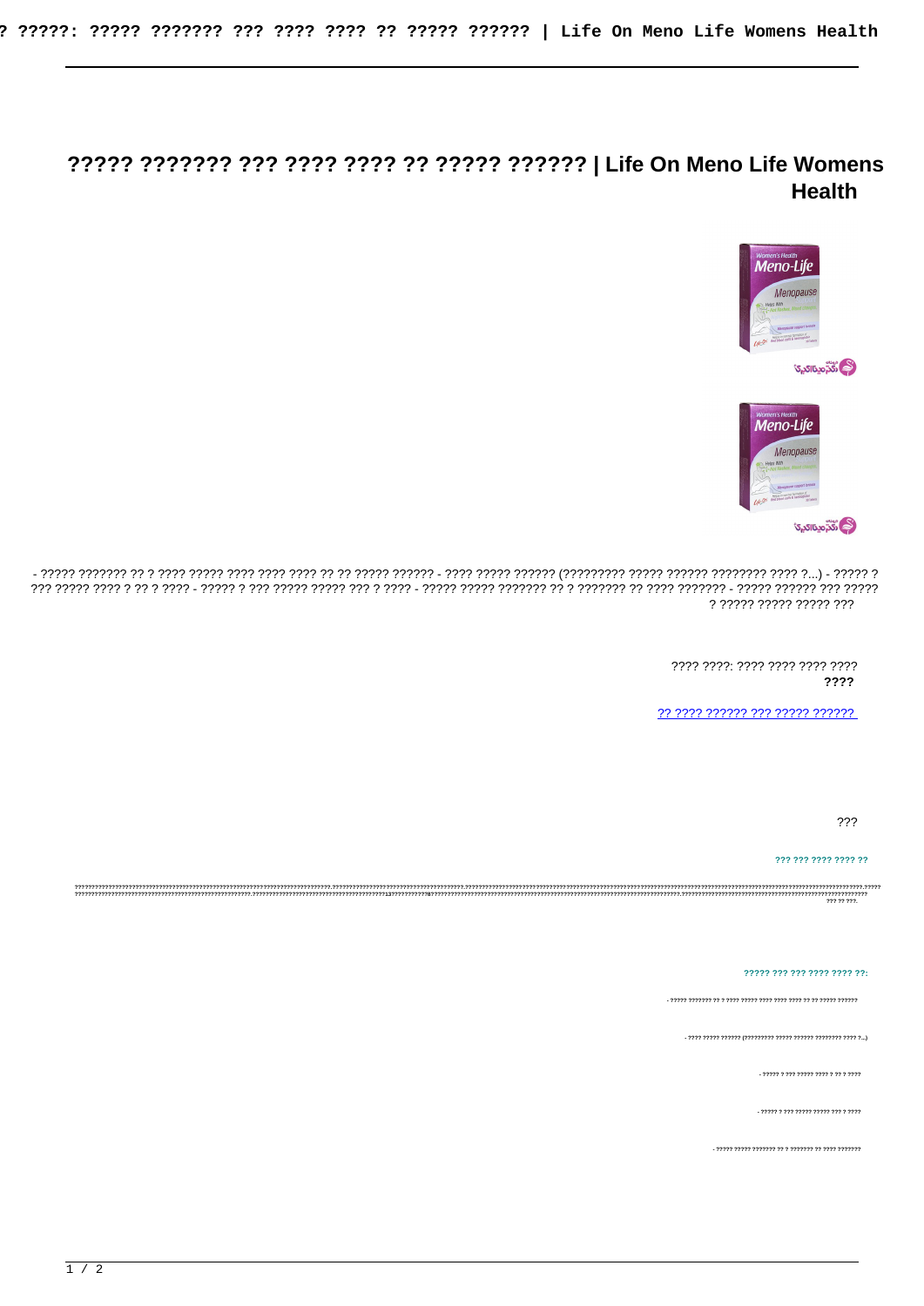# **Health**





? ????? ????? ????? ???

> ???? ????: ???? ???? ???? ???? ????

22 2222 222222 222 22222 222222

???

### ??? ??? ???? ???? ??

ירר רררר רררר ררר ררר ררר ב

 $-222222222222222222222222222222$ 

- ????? ? ??? ????? ????? ??? ? ????